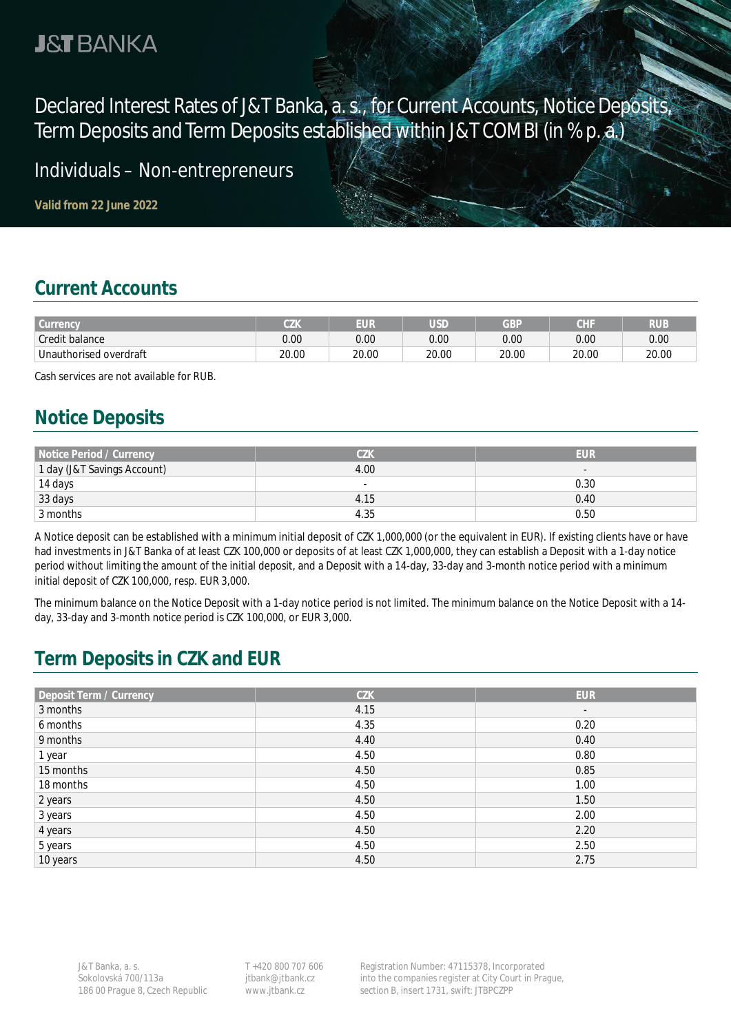# **J&T BANKA**

Declared Interest Rates of J&T Banka, a. s., for Current Accounts, Notice Deposits, Term Deposits and Term Deposits established within J&T COMBI (in % p. a.)

#### Individuals – Non-entrepreneurs

**Valid from 22 June 2022**

### **Current Accounts**

| <b>Currency</b>        | 07V<br>UZN | EUR   | <b>JSD</b> | GBP   | СH    | RUB   |
|------------------------|------------|-------|------------|-------|-------|-------|
| Credit balance         | 0.00       | 0.00  | 0.00       | 0.00  | 0.00  | 0.00  |
| Unauthorised overdraft | 20.00      | 20.00 | 20.00      | 20.00 | 20.00 | 20.00 |

Cash services are not available for RUB.

#### **Notice Deposits**

| Notice Period / Currency    | CZK                      | EUR    |
|-----------------------------|--------------------------|--------|
| 1 day (J&T Savings Account) | 4.00                     | $\sim$ |
| 14 days                     | $\overline{\phantom{a}}$ | 0.30   |
| 33 days                     | 4.15                     | 0.40   |
| 3 months                    | 4.35                     | 0.50   |

A Notice deposit can be established with a minimum initial deposit of CZK 1,000,000 (or the equivalent in EUR). If existing clients have or have had investments in J&T Banka of at least CZK 100,000 or deposits of at least CZK 1,000,000, they can establish a Deposit with a 1-day notice period without limiting the amount of the initial deposit, and a Deposit with a 14-day, 33-day and 3-month notice period with a minimum initial deposit of CZK 100,000, resp. EUR 3,000.

The minimum balance on the Notice Deposit with a 1-day notice period is not limited. The minimum balance on the Notice Deposit with a 14 day, 33-day and 3-month notice period is CZK 100,000, or EUR 3,000.

## **Term Deposits in CZK and EUR**

| Deposit Term / Currency | <b>CZK</b> | <b>EUR</b>               |
|-------------------------|------------|--------------------------|
| 3 months                | 4.15       | $\overline{\phantom{a}}$ |
| 6 months                | 4.35       | 0.20                     |
| 9 months                | 4.40       | 0.40                     |
| 1 year                  | 4.50       | 0.80                     |
| 15 months               | 4.50       | 0.85                     |
| 18 months               | 4.50       | 1.00                     |
| 2 years                 | 4.50       | 1.50                     |
| 3 years                 | 4.50       | 2.00                     |
| 4 years                 | 4.50       | 2.20                     |
| 5 years                 | 4.50       | 2.50                     |
| 10 years                | 4.50       | 2.75                     |

T +420 800 707 606 jtbank@jtbank.cz www.jtbank.cz